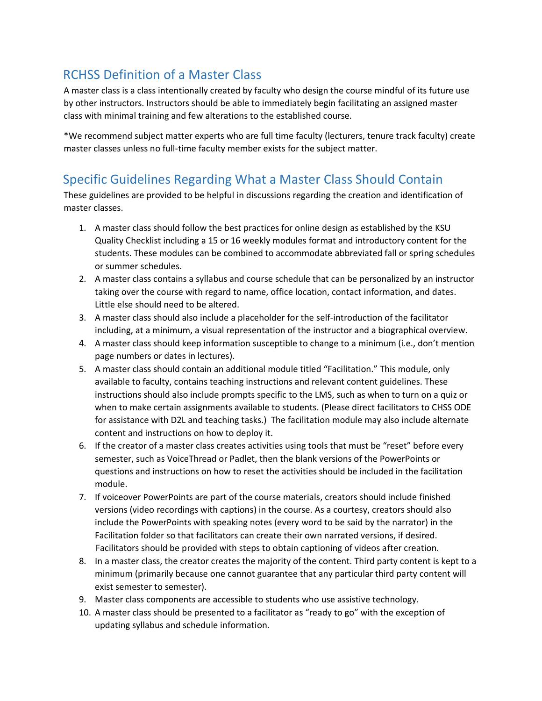## RCHSS Definition of a Master Class

A master class is a class intentionally created by faculty who design the course mindful of its future use by other instructors. Instructors should be able to immediately begin facilitating an assigned master class with minimal training and few alterations to the established course.

\*We recommend subject matter experts who are full time faculty (lecturers, tenure track faculty) create master classes unless no full-time faculty member exists for the subject matter.

## Specific Guidelines Regarding What a Master Class Should Contain

These guidelines are provided to be helpful in discussions regarding the creation and identification of master classes.

- 1. A master class should follow the best practices for online design as established by the KSU Quality Checklist including a 15 or 16 weekly modules format and introductory content for the students. These modules can be combined to accommodate abbreviated fall or spring schedules or summer schedules.
- 2. A master class contains a syllabus and course schedule that can be personalized by an instructor taking over the course with regard to name, office location, contact information, and dates. Little else should need to be altered.
- 3. A master class should also include a placeholder for the self-introduction of the facilitator including, at a minimum, a visual representation of the instructor and a biographical overview.
- 4. A master class should keep information susceptible to change to a minimum (i.e., don't mention page numbers or dates in lectures).
- 5. A master class should contain an additional module titled "Facilitation." This module, only available to faculty, contains teaching instructions and relevant content guidelines. These instructions should also include prompts specific to the LMS, such as when to turn on a quiz or when to make certain assignments available to students. (Please direct facilitators to CHSS ODE for assistance with D2L and teaching tasks.) The facilitation module may also include alternate content and instructions on how to deploy it.
- 6. If the creator of a master class creates activities using tools that must be "reset" before every semester, such as VoiceThread or Padlet, then the blank versions of the PowerPoints or questions and instructions on how to reset the activities should be included in the facilitation module.
- 7. If voiceover PowerPoints are part of the course materials, creators should include finished versions (video recordings with captions) in the course. As a courtesy, creators should also include the PowerPoints with speaking notes (every word to be said by the narrator) in the Facilitation folder so that facilitators can create their own narrated versions, if desired. Facilitators should be provided with steps to obtain captioning of videos after creation.
- 8. In a master class, the creator creates the majority of the content. Third party content is kept to a minimum (primarily because one cannot guarantee that any particular third party content will exist semester to semester).
- 9. Master class components are accessible to students who use assistive technology.
- 10. A master class should be presented to a facilitator as "ready to go" with the exception of updating syllabus and schedule information.